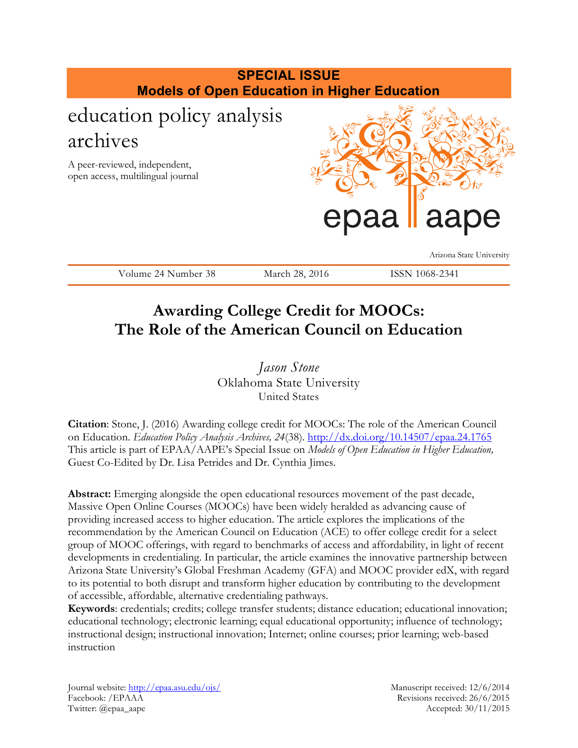

# **Awarding College Credit for MOOCs: The Role of the American Council on Education**

*Jason Stone* Oklahoma State University United States

**Citation**: Stone, J. (2016) Awarding college credit for MOOCs: The role of the American Council on Education. *Education Policy Analysis Archives, 24*(38).<http://dx.doi.org/10.14507/epaa.24.1765> This article is part of EPAA/AAPE's Special Issue on *Models of Open Education in Higher Education,* Guest Co-Edited by Dr. Lisa Petrides and Dr. Cynthia Jimes.

**Abstract:** Emerging alongside the open educational resources movement of the past decade, Massive Open Online Courses (MOOCs) have been widely heralded as advancing cause of providing increased access to higher education. The article explores the implications of the recommendation by the American Council on Education (ACE) to offer college credit for a select group of MOOC offerings, with regard to benchmarks of access and affordability, in light of recent developments in credentialing. In particular, the article examines the innovative partnership between Arizona State University's Global Freshman Academy (GFA) and MOOC provider edX, with regard to its potential to both disrupt and transform higher education by contributing to the development of accessible, affordable, alternative credentialing pathways.

**Keywords**: credentials; credits; college transfer students; distance education; educational innovation; educational technology; electronic learning; equal educational opportunity; influence of technology; instructional design; instructional innovation; Internet; online courses; prior learning; web-based instruction

Journal website:<http://epaa.asu.edu/ojs/> Manuscript received: 12/6/2014 Facebook: /EPAAA Revisions received: 26/6/2015 Twitter: @epaa\_aape Accepted: 30/11/2015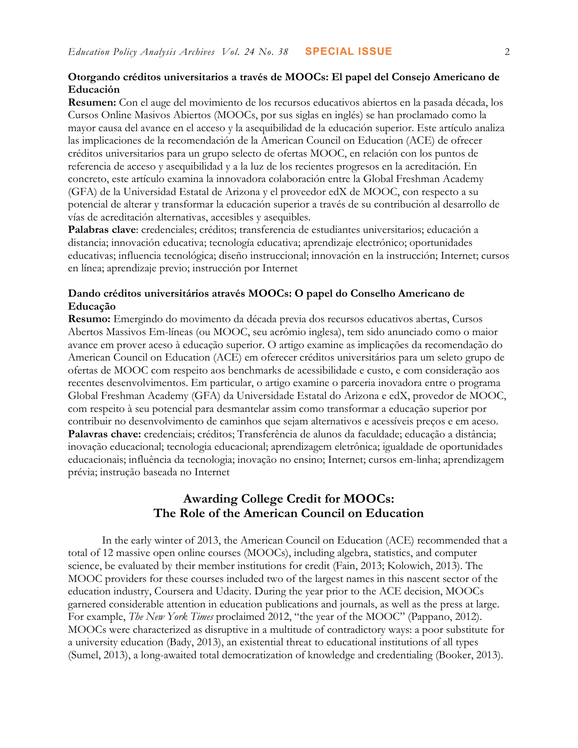### **Otorgando créditos universitarios a través de MOOCs: El papel del Consejo Americano de Educación**

**Resumen:** Con el auge del movimiento de los recursos educativos abiertos en la pasada década, los Cursos Online Masivos Abiertos (MOOCs, por sus siglas en inglés) se han proclamado como la mayor causa del avance en el acceso y la asequibilidad de la educación superior. Este artículo analiza las implicaciones de la recomendación de la American Council on Education (ACE) de ofrecer créditos universitarios para un grupo selecto de ofertas MOOC, en relación con los puntos de referencia de acceso y asequibilidad y a la luz de los recientes progresos en la acreditación. En concreto, este artículo examina la innovadora colaboración entre la Global Freshman Academy (GFA) de la Universidad Estatal de Arizona y el proveedor edX de MOOC, con respecto a su potencial de alterar y transformar la educación superior a través de su contribución al desarrollo de vías de acreditación alternativas, accesibles y asequibles.

**Palabras clave**: credenciales; créditos; transferencia de estudiantes universitarios; educación a distancia; innovación educativa; tecnología educativa; aprendizaje electrónico; oportunidades educativas; influencia tecnológica; diseño instruccional; innovación en la instrucción; Internet; cursos en línea; aprendizaje previo; instrucción por Internet

## **Dando créditos universitários através MOOCs: O papel do Conselho Americano de Educação**

**Resumo:** Emergindo do movimento da década previa dos recursos educativos abertas, Cursos Abertos Massivos Em-líneas (ou MOOC, seu acrômio inglesa), tem sido anunciado como o maior avance em prover aceso à educação superior. O artigo examine as implicações da recomendação do American Council on Education (ACE) em oferecer créditos universitários para um seleto grupo de ofertas de MOOC com respeito aos benchmarks de acessibilidade e custo, e com consideração aos recentes desenvolvimentos. Em particular, o artigo examine o parceria inovadora entre o programa Global Freshman Academy (GFA) da Universidade Estatal do Arizona e edX, provedor de MOOC, com respeito à seu potencial para desmantelar assim como transformar a educação superior por contribuir no desenvolvimento de caminhos que sejam alternativos e acessíveis preços e em aceso. **Palavras chave:** credenciais; créditos; Transferência de alunos da faculdade; educação a distância; inovação educacional; tecnologia educacional; aprendizagem eletrônica; igualdade de oportunidades educacionais; influência da tecnologia; inovação no ensino; Internet; cursos em-linha; aprendizagem prévia; instrução baseada no Internet

# **Awarding College Credit for MOOCs: The Role of the American Council on Education**

In the early winter of 2013, the American Council on Education (ACE) recommended that a total of 12 massive open online courses (MOOCs), including algebra, statistics, and computer science, be evaluated by their member institutions for credit (Fain, 2013; Kolowich, 2013). The MOOC providers for these courses included two of the largest names in this nascent sector of the education industry, Coursera and Udacity. During the year prior to the ACE decision, MOOCs garnered considerable attention in education publications and journals, as well as the press at large. For example, *The New York Times* proclaimed 2012, "the year of the MOOC" (Pappano, 2012). MOOCs were characterized as disruptive in a multitude of contradictory ways: a poor substitute for a university education (Bady, 2013), an existential threat to educational institutions of all types (Sumel, 2013), a long-awaited total democratization of knowledge and credentialing (Booker, 2013).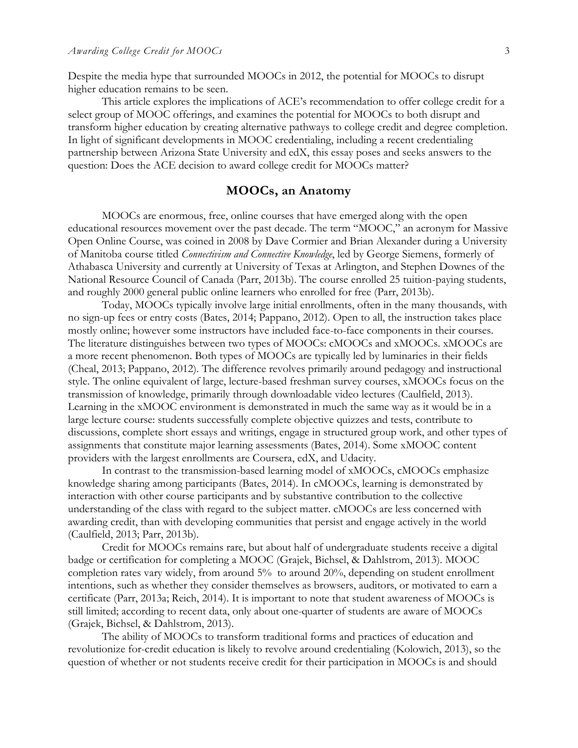Despite the media hype that surrounded MOOCs in 2012, the potential for MOOCs to disrupt higher education remains to be seen.

This article explores the implications of ACE's recommendation to offer college credit for a select group of MOOC offerings, and examines the potential for MOOCs to both disrupt and transform higher education by creating alternative pathways to college credit and degree completion. In light of significant developments in MOOC credentialing, including a recent credentialing partnership between Arizona State University and edX, this essay poses and seeks answers to the question: Does the ACE decision to award college credit for MOOCs matter?

### **MOOCs, an Anatomy**

MOOCs are enormous, free, online courses that have emerged along with the open educational resources movement over the past decade. The term "MOOC," an acronym for Massive Open Online Course, was coined in 2008 by Dave Cormier and Brian Alexander during a University of Manitoba course titled *Connectivism and Connective Knowledge*, led by George Siemens, formerly of Athabasca University and currently at University of Texas at Arlington, and Stephen Downes of the National Resource Council of Canada (Parr, 2013b). The course enrolled 25 tuition-paying students, and roughly 2000 general public online learners who enrolled for free (Parr, 2013b).

Today, MOOCs typically involve large initial enrollments, often in the many thousands, with no sign-up fees or entry costs (Bates, 2014; Pappano, 2012). Open to all, the instruction takes place mostly online; however some instructors have included face-to-face components in their courses. The literature distinguishes between two types of MOOCs: cMOOCs and xMOOCs. xMOOCs are a more recent phenomenon. Both types of MOOCs are typically led by luminaries in their fields (Cheal, 2013; Pappano, 2012). The difference revolves primarily around pedagogy and instructional style. The online equivalent of large, lecture-based freshman survey courses, xMOOCs focus on the transmission of knowledge, primarily through downloadable video lectures (Caulfield, 2013). Learning in the xMOOC environment is demonstrated in much the same way as it would be in a large lecture course: students successfully complete objective quizzes and tests, contribute to discussions, complete short essays and writings, engage in structured group work, and other types of assignments that constitute major learning assessments (Bates, 2014). Some xMOOC content providers with the largest enrollments are Coursera, edX, and Udacity.

In contrast to the transmission-based learning model of xMOOCs, cMOOCs emphasize knowledge sharing among participants (Bates, 2014). In cMOOCs, learning is demonstrated by interaction with other course participants and by substantive contribution to the collective understanding of the class with regard to the subject matter. cMOOCs are less concerned with awarding credit, than with developing communities that persist and engage actively in the world (Caulfield, 2013; Parr, 2013b).

Credit for MOOCs remains rare, but about half of undergraduate students receive a digital badge or certification for completing a MOOC (Grajek, Bichsel, & Dahlstrom, 2013). MOOC completion rates vary widely, from around 5% to around 20%, depending on student enrollment intentions, such as whether they consider themselves as browsers, auditors, or motivated to earn a certificate (Parr, 2013a; Reich, 2014). It is important to note that student awareness of MOOCs is still limited; according to recent data, only about one-quarter of students are aware of MOOCs (Grajek, Bichsel, & Dahlstrom, 2013).

The ability of MOOCs to transform traditional forms and practices of education and revolutionize for-credit education is likely to revolve around credentialing (Kolowich, 2013), so the question of whether or not students receive credit for their participation in MOOCs is and should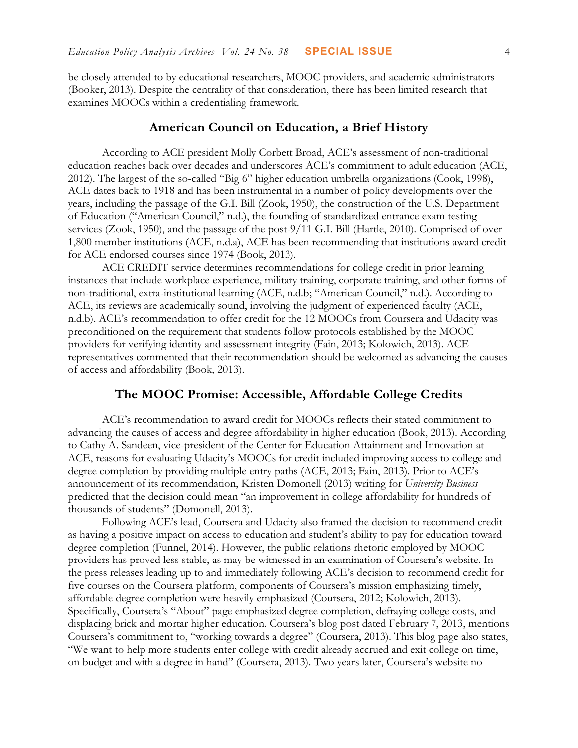be closely attended to by educational researchers, MOOC providers, and academic administrators (Booker, 2013). Despite the centrality of that consideration, there has been limited research that examines MOOCs within a credentialing framework.

## **American Council on Education, a Brief History**

According to ACE president Molly Corbett Broad, ACE's assessment of non-traditional education reaches back over decades and underscores ACE's commitment to adult education (ACE, 2012). The largest of the so-called "Big 6" higher education umbrella organizations (Cook, 1998), ACE dates back to 1918 and has been instrumental in a number of policy developments over the years, including the passage of the G.I. Bill (Zook, 1950), the construction of the U.S. Department of Education ("American Council," n.d.), the founding of standardized entrance exam testing services (Zook, 1950), and the passage of the post-9/11 G.I. Bill (Hartle, 2010). Comprised of over 1,800 member institutions (ACE, n.d.a), ACE has been recommending that institutions award credit for ACE endorsed courses since 1974 (Book, 2013).

ACE CREDIT service determines recommendations for college credit in prior learning instances that include workplace experience, military training, corporate training, and other forms of non-traditional, extra-institutional learning (ACE, n.d.b; "American Council," n.d.). According to ACE, its reviews are academically sound, involving the judgment of experienced faculty (ACE, n.d.b). ACE's recommendation to offer credit for the 12 MOOCs from Coursera and Udacity was preconditioned on the requirement that students follow protocols established by the MOOC providers for verifying identity and assessment integrity (Fain, 2013; Kolowich, 2013). ACE representatives commented that their recommendation should be welcomed as advancing the causes of access and affordability (Book, 2013).

# **The MOOC Promise: Accessible, Affordable College Credits**

ACE's recommendation to award credit for MOOCs reflects their stated commitment to advancing the causes of access and degree affordability in higher education (Book, 2013). According to Cathy A. Sandeen, vice-president of the Center for Education Attainment and Innovation at ACE, reasons for evaluating Udacity's MOOCs for credit included improving access to college and degree completion by providing multiple entry paths (ACE, 2013; Fain, 2013). Prior to ACE's announcement of its recommendation, Kristen Domonell (2013) writing for *University Business* predicted that the decision could mean "an improvement in college affordability for hundreds of thousands of students" (Domonell, 2013).

Following ACE's lead, Coursera and Udacity also framed the decision to recommend credit as having a positive impact on access to education and student's ability to pay for education toward degree completion (Funnel, 2014). However, the public relations rhetoric employed by MOOC providers has proved less stable, as may be witnessed in an examination of Coursera's website. In the press releases leading up to and immediately following ACE's decision to recommend credit for five courses on the Coursera platform, components of Coursera's mission emphasizing timely, affordable degree completion were heavily emphasized (Coursera, 2012; Kolowich, 2013). Specifically, Coursera's "About" page emphasized degree completion, defraying college costs, and displacing brick and mortar higher education. Coursera's blog post dated February 7, 2013, mentions Coursera's commitment to, "working towards a degree" (Coursera, 2013). This blog page also states, "We want to help more students enter college with credit already accrued and exit college on time, on budget and with a degree in hand" (Coursera, 2013). Two years later, Coursera's website no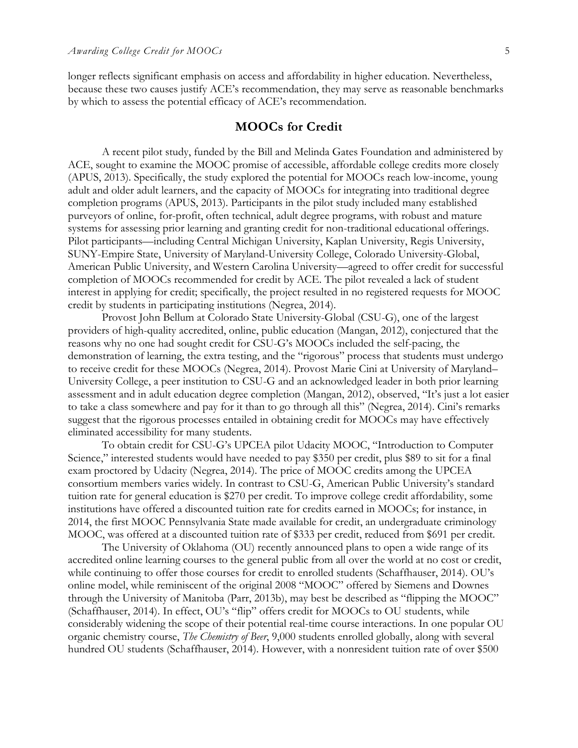longer reflects significant emphasis on access and affordability in higher education. Nevertheless, because these two causes justify ACE's recommendation, they may serve as reasonable benchmarks by which to assess the potential efficacy of ACE's recommendation.

### **MOOCs for Credit**

A recent pilot study, funded by the Bill and Melinda Gates Foundation and administered by ACE, sought to examine the MOOC promise of accessible, affordable college credits more closely (APUS, 2013). Specifically, the study explored the potential for MOOCs reach low-income, young adult and older adult learners, and the capacity of MOOCs for integrating into traditional degree completion programs (APUS, 2013). Participants in the pilot study included many established purveyors of online, for-profit, often technical, adult degree programs, with robust and mature systems for assessing prior learning and granting credit for non-traditional educational offerings. Pilot participants—including Central Michigan University, Kaplan University, Regis University, SUNY-Empire State, University of Maryland-University College, Colorado University-Global, American Public University, and Western Carolina University—agreed to offer credit for successful completion of MOOCs recommended for credit by ACE. The pilot revealed a lack of student interest in applying for credit; specifically, the project resulted in no registered requests for MOOC credit by students in participating institutions (Negrea, 2014).

Provost John Bellum at Colorado State University-Global (CSU-G), one of the largest providers of high-quality accredited, online, public education (Mangan, 2012), conjectured that the reasons why no one had sought credit for CSU-G's MOOCs included the self-pacing, the demonstration of learning, the extra testing, and the "rigorous" process that students must undergo to receive credit for these MOOCs (Negrea, 2014). Provost Marie Cini at University of Maryland– University College, a peer institution to CSU-G and an acknowledged leader in both prior learning assessment and in adult education degree completion (Mangan, 2012), observed, "It's just a lot easier to take a class somewhere and pay for it than to go through all this" (Negrea, 2014). Cini's remarks suggest that the rigorous processes entailed in obtaining credit for MOOCs may have effectively eliminated accessibility for many students.

To obtain credit for CSU-G's UPCEA pilot Udacity MOOC, "Introduction to Computer Science," interested students would have needed to pay \$350 per credit, plus \$89 to sit for a final exam proctored by Udacity (Negrea, 2014). The price of MOOC credits among the UPCEA consortium members varies widely. In contrast to CSU-G, American Public University's standard tuition rate for general education is \$270 per credit. To improve college credit affordability, some institutions have offered a discounted tuition rate for credits earned in MOOCs; for instance, in 2014, the first MOOC Pennsylvania State made available for credit, an undergraduate criminology MOOC, was offered at a discounted tuition rate of \$333 per credit, reduced from \$691 per credit.

The University of Oklahoma (OU) recently announced plans to open a wide range of its accredited online learning courses to the general public from all over the world at no cost or credit, while continuing to offer those courses for credit to enrolled students (Schaffhauser, 2014). OU's online model, while reminiscent of the original 2008 "MOOC" offered by Siemens and Downes through the University of Manitoba (Parr, 2013b), may best be described as "flipping the MOOC" (Schaffhauser, 2014). In effect, OU's "flip" offers credit for MOOCs to OU students, while considerably widening the scope of their potential real-time course interactions. In one popular OU organic chemistry course, *The Chemistry of Beer*, 9,000 students enrolled globally, along with several hundred OU students (Schaffhauser, 2014). However, with a nonresident tuition rate of over \$500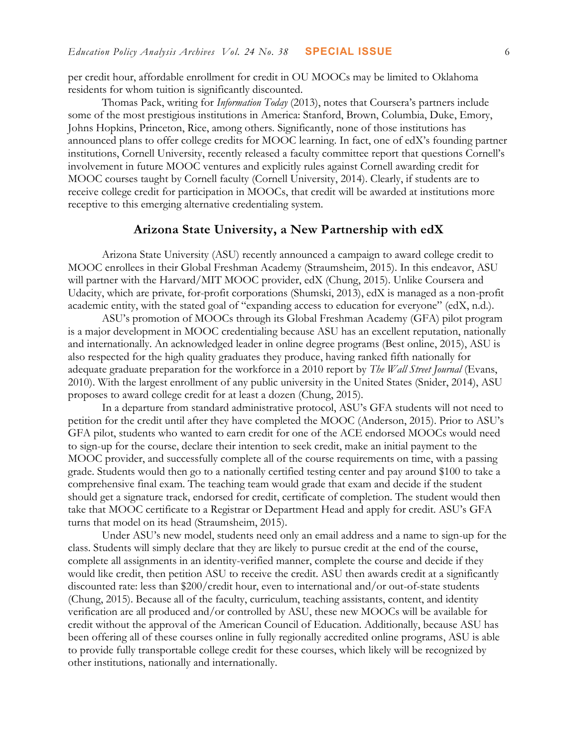per credit hour, affordable enrollment for credit in OU MOOCs may be limited to Oklahoma residents for whom tuition is significantly discounted.

Thomas Pack, writing for *Information Today* (2013), notes that Coursera's partners include some of the most prestigious institutions in America: Stanford, Brown, Columbia, Duke, Emory, Johns Hopkins, Princeton, Rice, among others. Significantly, none of those institutions has announced plans to offer college credits for MOOC learning. In fact, one of edX's founding partner institutions, Cornell University, recently released a faculty committee report that questions Cornell's involvement in future MOOC ventures and explicitly rules against Cornell awarding credit for MOOC courses taught by Cornell faculty (Cornell University, 2014). Clearly, if students are to receive college credit for participation in MOOCs, that credit will be awarded at institutions more receptive to this emerging alternative credentialing system.

# **Arizona State University, a New Partnership with edX**

Arizona State University (ASU) recently announced a campaign to award college credit to MOOC enrollees in their Global Freshman Academy (Straumsheim, 2015). In this endeavor, ASU will partner with the Harvard/MIT MOOC provider, edX (Chung, 2015). Unlike Coursera and Udacity, which are private, for-profit corporations (Shumski, 2013), edX is managed as a non-profit academic entity, with the stated goal of "expanding access to education for everyone" (edX, n.d.).

ASU's promotion of MOOCs through its Global Freshman Academy (GFA) pilot program is a major development in MOOC credentialing because ASU has an excellent reputation, nationally and internationally. An acknowledged leader in online degree programs (Best online, 2015), ASU is also respected for the high quality graduates they produce, having ranked fifth nationally for adequate graduate preparation for the workforce in a 2010 report by *The Wall Street Journal* (Evans, 2010). With the largest enrollment of any public university in the United States (Snider, 2014), ASU proposes to award college credit for at least a dozen (Chung, 2015).

In a departure from standard administrative protocol, ASU's GFA students will not need to petition for the credit until after they have completed the MOOC (Anderson, 2015). Prior to ASU's GFA pilot, students who wanted to earn credit for one of the ACE endorsed MOOCs would need to sign-up for the course, declare their intention to seek credit, make an initial payment to the MOOC provider, and successfully complete all of the course requirements on time, with a passing grade. Students would then go to a nationally certified testing center and pay around \$100 to take a comprehensive final exam. The teaching team would grade that exam and decide if the student should get a signature track, endorsed for credit, certificate of completion. The student would then take that MOOC certificate to a Registrar or Department Head and apply for credit. ASU's GFA turns that model on its head (Straumsheim, 2015).

Under ASU's new model, students need only an email address and a name to sign-up for the class. Students will simply declare that they are likely to pursue credit at the end of the course, complete all assignments in an identity-verified manner, complete the course and decide if they would like credit, then petition ASU to receive the credit. ASU then awards credit at a significantly discounted rate: less than \$200/credit hour, even to international and/or out-of-state students (Chung, 2015). Because all of the faculty, curriculum, teaching assistants, content, and identity verification are all produced and/or controlled by ASU, these new MOOCs will be available for credit without the approval of the American Council of Education. Additionally, because ASU has been offering all of these courses online in fully regionally accredited online programs, ASU is able to provide fully transportable college credit for these courses, which likely will be recognized by other institutions, nationally and internationally.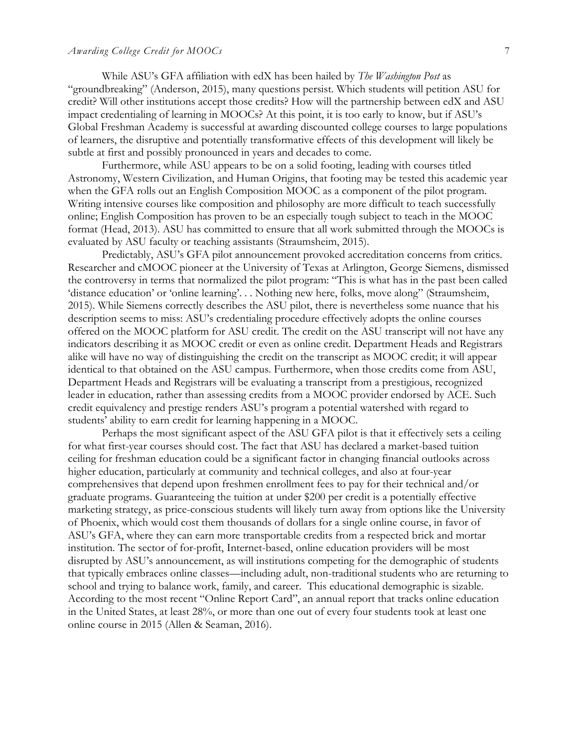#### *Awarding College Credit for MOOCs* 7

While ASU's GFA affiliation with edX has been hailed by *The Washington Post* as "groundbreaking" (Anderson, 2015), many questions persist. Which students will petition ASU for credit? Will other institutions accept those credits? How will the partnership between edX and ASU impact credentialing of learning in MOOCs? At this point, it is too early to know, but if ASU's Global Freshman Academy is successful at awarding discounted college courses to large populations of learners, the disruptive and potentially transformative effects of this development will likely be subtle at first and possibly pronounced in years and decades to come.

Furthermore, while ASU appears to be on a solid footing, leading with courses titled Astronomy, Western Civilization, and Human Origins, that footing may be tested this academic year when the GFA rolls out an English Composition MOOC as a component of the pilot program. Writing intensive courses like composition and philosophy are more difficult to teach successfully online; English Composition has proven to be an especially tough subject to teach in the MOOC format (Head, 2013). ASU has committed to ensure that all work submitted through the MOOCs is evaluated by ASU faculty or teaching assistants (Straumsheim, 2015).

Predictably, ASU's GFA pilot announcement provoked accreditation concerns from critics. Researcher and cMOOC pioneer at the University of Texas at Arlington, George Siemens, dismissed the controversy in terms that normalized the pilot program: "This is what has in the past been called 'distance education' or 'online learning'. . . Nothing new here, folks, move along" (Straumsheim, 2015). While Siemens correctly describes the ASU pilot, there is nevertheless some nuance that his description seems to miss: ASU's credentialing procedure effectively adopts the online courses offered on the MOOC platform for ASU credit. The credit on the ASU transcript will not have any indicators describing it as MOOC credit or even as online credit. Department Heads and Registrars alike will have no way of distinguishing the credit on the transcript as MOOC credit; it will appear identical to that obtained on the ASU campus. Furthermore, when those credits come from ASU, Department Heads and Registrars will be evaluating a transcript from a prestigious, recognized leader in education, rather than assessing credits from a MOOC provider endorsed by ACE. Such credit equivalency and prestige renders ASU's program a potential watershed with regard to students' ability to earn credit for learning happening in a MOOC.

Perhaps the most significant aspect of the ASU GFA pilot is that it effectively sets a ceiling for what first-year courses should cost. The fact that ASU has declared a market-based tuition ceiling for freshman education could be a significant factor in changing financial outlooks across higher education, particularly at community and technical colleges, and also at four-year comprehensives that depend upon freshmen enrollment fees to pay for their technical and/or graduate programs. Guaranteeing the tuition at under \$200 per credit is a potentially effective marketing strategy, as price-conscious students will likely turn away from options like the University of Phoenix, which would cost them thousands of dollars for a single online course, in favor of ASU's GFA, where they can earn more transportable credits from a respected brick and mortar institution. The sector of for-profit, Internet-based, online education providers will be most disrupted by ASU's announcement, as will institutions competing for the demographic of students that typically embraces online classes—including adult, non-traditional students who are returning to school and trying to balance work, family, and career. This educational demographic is sizable. According to the most recent "Online Report Card", an annual report that tracks online education in the United States, at least 28%, or more than one out of every four students took at least one online course in 2015 (Allen & Seaman, 2016).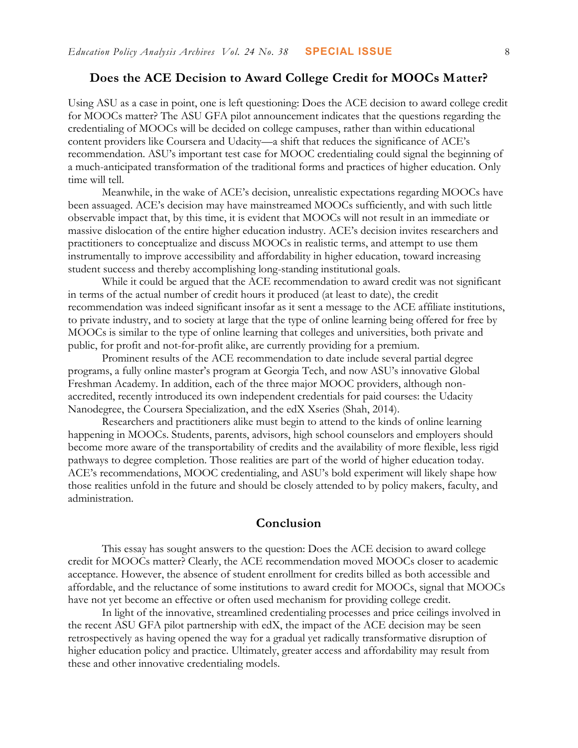## **Does the ACE Decision to Award College Credit for MOOCs Matter?**

Using ASU as a case in point, one is left questioning: Does the ACE decision to award college credit for MOOCs matter? The ASU GFA pilot announcement indicates that the questions regarding the credentialing of MOOCs will be decided on college campuses, rather than within educational content providers like Coursera and Udacity—a shift that reduces the significance of ACE's recommendation. ASU's important test case for MOOC credentialing could signal the beginning of a much-anticipated transformation of the traditional forms and practices of higher education. Only time will tell.

Meanwhile, in the wake of ACE's decision, unrealistic expectations regarding MOOCs have been assuaged. ACE's decision may have mainstreamed MOOCs sufficiently, and with such little observable impact that, by this time, it is evident that MOOCs will not result in an immediate or massive dislocation of the entire higher education industry. ACE's decision invites researchers and practitioners to conceptualize and discuss MOOCs in realistic terms, and attempt to use them instrumentally to improve accessibility and affordability in higher education, toward increasing student success and thereby accomplishing long-standing institutional goals.

While it could be argued that the ACE recommendation to award credit was not significant in terms of the actual number of credit hours it produced (at least to date), the credit recommendation was indeed significant insofar as it sent a message to the ACE affiliate institutions, to private industry, and to society at large that the type of online learning being offered for free by MOOCs is similar to the type of online learning that colleges and universities, both private and public, for profit and not-for-profit alike, are currently providing for a premium.

Prominent results of the ACE recommendation to date include several partial degree programs, a fully online master's program at Georgia Tech, and now ASU's innovative Global Freshman Academy. In addition, each of the three major MOOC providers, although nonaccredited, recently introduced its own independent credentials for paid courses: the Udacity Nanodegree, the Coursera Specialization, and the edX Xseries (Shah, 2014).

 Researchers and practitioners alike must begin to attend to the kinds of online learning happening in MOOCs. Students, parents, advisors, high school counselors and employers should become more aware of the transportability of credits and the availability of more flexible, less rigid pathways to degree completion. Those realities are part of the world of higher education today. ACE's recommendations, MOOC credentialing, and ASU's bold experiment will likely shape how those realities unfold in the future and should be closely attended to by policy makers, faculty, and administration.

#### **Conclusion**

This essay has sought answers to the question: Does the ACE decision to award college credit for MOOCs matter? Clearly, the ACE recommendation moved MOOCs closer to academic acceptance. However, the absence of student enrollment for credits billed as both accessible and affordable, and the reluctance of some institutions to award credit for MOOCs, signal that MOOCs have not yet become an effective or often used mechanism for providing college credit.

In light of the innovative, streamlined credentialing processes and price ceilings involved in the recent ASU GFA pilot partnership with edX, the impact of the ACE decision may be seen retrospectively as having opened the way for a gradual yet radically transformative disruption of higher education policy and practice. Ultimately, greater access and affordability may result from these and other innovative credentialing models.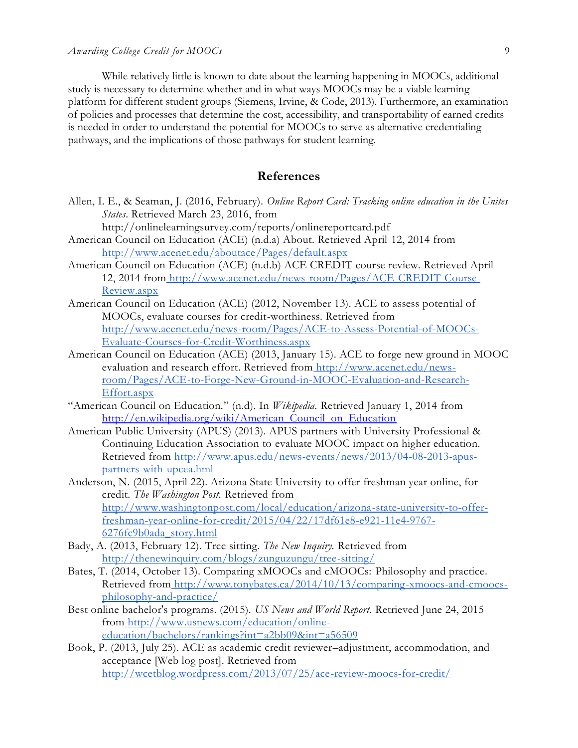While relatively little is known to date about the learning happening in MOOCs, additional study is necessary to determine whether and in what ways MOOCs may be a viable learning platform for different student groups (Siemens, Irvine, & Code, 2013). Furthermore, an examination of policies and processes that determine the cost, accessibility, and transportability of earned credits is needed in order to understand the potential for MOOCs to serve as alternative credentialing pathways, and the implications of those pathways for student learning.

## **References**

Allen, I. E., & Seaman, J. (2016, February). *Online Report Card: Tracking online education in the Unites States*. Retrieved March 23, 2016, from

http://onlinelearningsurvey.com/reports/onlinereportcard.pdf

- American Council on Education (ACE) (n.d.a) About. Retrieved April 12, 2014 fro[m](http://www.acenet.edu/aboutace/Pages/default.aspx) <http://www.acenet.edu/aboutace/Pages/default.aspx>
- American Council on Education (ACE) (n.d.b) ACE CREDIT course review. Retrieved April 12, 2014 from [http://www.acenet.edu/news-room/Pages/ACE-CREDIT-Course-](http://www.acenet.edu/news-room/Pages/ACE-CREDIT-Course-Review.aspx)[Review.aspx](http://www.acenet.edu/news-room/Pages/ACE-CREDIT-Course-Review.aspx)
- American Council on Education (ACE) (2012, November 13). ACE to assess potential of MOOCs, evaluate courses for credit-worthiness. Retrieved fro[m](http://www.acenet.edu/news-room/Pages/ACE-to-Assess-Potential-of-MOOCs-Evaluate-Courses-for-Credit-Worthiness.aspx) [http://www.acenet.edu/news-room/Pages/ACE-to-Assess-Potential-of-MOOCs-](http://www.acenet.edu/news-room/Pages/ACE-to-Assess-Potential-of-MOOCs-Evaluate-Courses-for-Credit-Worthiness.aspx)[Evaluate-Courses-for-Credit-Worthiness.aspx](http://www.acenet.edu/news-room/Pages/ACE-to-Assess-Potential-of-MOOCs-Evaluate-Courses-for-Credit-Worthiness.aspx)
- American Council on Education (ACE) (2013, January 15). ACE to forge new ground in MOOC evaluation and research effort. Retrieved from [http://www.acenet.edu/news](http://www.acenet.edu/news-room/Pages/ACE-to-Forge-New-Ground-in-MOOC-Evaluation-and-Research-Effort.aspx)[room/Pages/ACE-to-Forge-New-Ground-in-MOOC-Evaluation-and-Research-](http://www.acenet.edu/news-room/Pages/ACE-to-Forge-New-Ground-in-MOOC-Evaluation-and-Research-Effort.aspx)[Effort.aspx](http://www.acenet.edu/news-room/Pages/ACE-to-Forge-New-Ground-in-MOOC-Evaluation-and-Research-Effort.aspx)
- "American Council on Education." (n.d). In *Wikipedia.* Retrieved January 1, 2014 fro[m](../../../../AppData/Local/Microsoft/Windows/Temporary%20Internet%20Files/Content.Outlook/FLDT0YMS/EPAA%20Articles%202016%20In%20Template/EPAA%20Articles%202016%20In%20Template/%20http:/--en.wikipedia.org-wiki-American_Council_on_Education) [http://en.wikipedia.org/wiki/American\\_Council\\_on\\_Education](../../../../AppData/Local/Microsoft/Windows/Temporary%20Internet%20Files/Content.Outlook/FLDT0YMS/EPAA%20Articles%202016%20In%20Template/EPAA%20Articles%202016%20In%20Template/%20http:/--en.wikipedia.org-wiki-American_Council_on_Education)
- American Public University (APUS) (2013). APUS partners with University Professional & Continuing Education Association to evaluate MOOC impact on higher education. Retrieved from [http://www.apus.edu/news-events/news/2013/04-08-2013-apus](http://www.apus.edu/news-events/news/2013/04-08-2013-apus-partners-with-upcea.hml)[partners-with-upcea.hml](http://www.apus.edu/news-events/news/2013/04-08-2013-apus-partners-with-upcea.hml)

Anderson, N. (2015, April 22). Arizona State University to offer freshman year online, for credit. *The Washington Post.* Retrieved fro[m](http://www.washingtonpost.com/local/education/arizona-state-university-to-offer-freshman-year-online-for-credit/2015/04/22/17df61e8-e921-11e4-9767-6276fc9b0ada_story.html) [http://www.washingtonpost.com/local/education/arizona-state-university-to-offer](http://www.washingtonpost.com/local/education/arizona-state-university-to-offer-freshman-year-online-for-credit/2015/04/22/17df61e8-e921-11e4-9767-6276fc9b0ada_story.html)[freshman-year-online-for-credit/2015/04/22/17df61e8-e921-11e4-9767-](http://www.washingtonpost.com/local/education/arizona-state-university-to-offer-freshman-year-online-for-credit/2015/04/22/17df61e8-e921-11e4-9767-6276fc9b0ada_story.html) [6276fc9b0ada\\_story.html](http://www.washingtonpost.com/local/education/arizona-state-university-to-offer-freshman-year-online-for-credit/2015/04/22/17df61e8-e921-11e4-9767-6276fc9b0ada_story.html)

- Bady, A. (2013, February 12). Tree sitting. *The New Inquiry.* Retrieved from <http://thenewinquiry.com/blogs/zunguzungu/tree-sitting/>
- Bates, T. (2014, October 13). Comparing xMOOCs and cMOOCs: Philosophy and practice. Retrieved from [http://www.tonybates.ca/2014/10/13/comparing-xmoocs-and-cmoocs](http://www.tonybates.ca/2014/10/13/comparing-xmoocs-and-cmoocs-philosophy-and-practice/)[philosophy-and-practice/](http://www.tonybates.ca/2014/10/13/comparing-xmoocs-and-cmoocs-philosophy-and-practice/)
- Best online bachelor's programs. (2015). *US News and World Report*. Retrieved June 24, 2015 from [http://www.usnews.com/education/online](http://www.usnews.com/education/online-education/bachelors/rankings?int=a2bb09&int=a56509)[education/bachelors/rankings?int=a2bb09&int=a56509](http://www.usnews.com/education/online-education/bachelors/rankings?int=a2bb09&int=a56509)
- Book, P. (2013, July 25). ACE as academic credit reviewer–adjustment, accommodation, and acceptance [Web log post]. Retrieved fro[m](http://wcetblog.wordpress.com/2013/07/25/ace-review-moocs-for-credit/) <http://wcetblog.wordpress.com/2013/07/25/ace-review-moocs-for-credit/>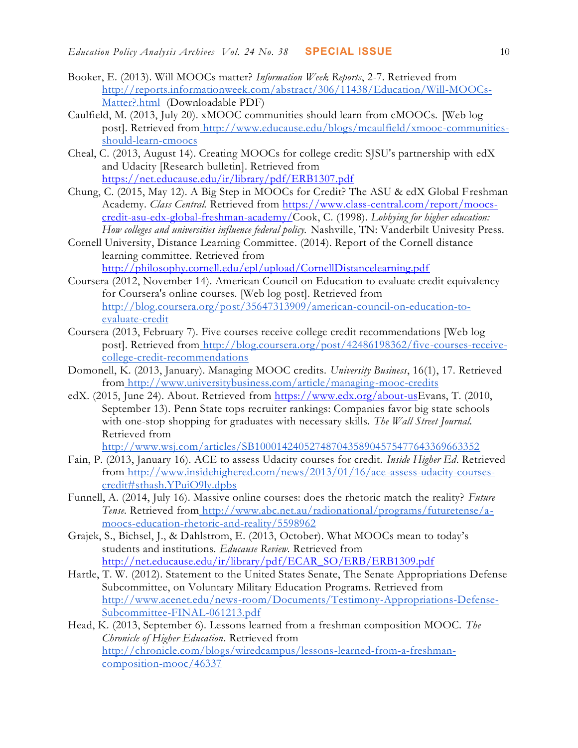- Booker, E. (2013). Will MOOCs matter? *Information Week Reports*, 2-7. Retrieved fro[m](http://reports.informationweek.com/abstract/306/11438/Education/Will-MOOCs-Matter?.html) [http://reports.informationweek.com/abstract/306/11438/Education/Will-MOOCs-](http://reports.informationweek.com/abstract/306/11438/Education/Will-MOOCs-Matter?.html)[Matter?.html](http://reports.informationweek.com/abstract/306/11438/Education/Will-MOOCs-Matter?.html) (Downloadable PDF)
- Caulfield, M. (2013, July 20). xMOOC communities should learn from cMOOCs. [Web log post]. Retrieved from [http://www.educause.edu/blogs/mcaulfield/xmooc-communities](http://www.educause.edu/blogs/mcaulfield/xmooc-communities-should-learn-cmoocs)[should-learn-cmoocs](http://www.educause.edu/blogs/mcaulfield/xmooc-communities-should-learn-cmoocs)
- Cheal, C. (2013, August 14). Creating MOOCs for college credit: SJSU's partnership with edX and Udacity [Research bulletin]. Retrieved fro[m](../../../../AppData/Local/Microsoft/Windows/Temporary%20Internet%20Files/Content.Outlook/Downloads/EPAA%20Articles%202016%20In%20Template/EPAA%20Articles%202016%20In%20Template/%20https:/--net.educause.edu-ir-library-pdf-ERB1307.pdf) [https://net.educause.edu/ir/library/pdf/ERB1307.pdf](../../../../AppData/Local/Microsoft/Windows/Temporary%20Internet%20Files/Content.Outlook/Downloads/EPAA%20Articles%202016%20In%20Template/EPAA%20Articles%202016%20In%20Template/%20https:/--net.educause.edu-ir-library-pdf-ERB1307.pdf)
- Chung, C. (2015, May 12). A Big Step in MOOCs for Credit? The ASU & edX Global Freshman Academy. *Class Central.* Retrieved from [https://www.class-central.com/report/moocs](https://www.class-central.com/report/moocs-credit-asu-edx-global-freshman-academy/)[credit-asu-edx-global-freshman-academy/C](https://www.class-central.com/report/moocs-credit-asu-edx-global-freshman-academy/)ook, C. (1998). *Lobbying for higher education: How colleges and universities influence federal policy.* Nashville, TN: Vanderbilt Univesity Press.
- Cornell University, Distance Learning Committee. (2014). Report of the Cornell distance learning committee. Retrieved fro[m](http://philosophy.cornell.edu/epl/upload/CornellDistancelearning.pdf) <http://philosophy.cornell.edu/epl/upload/CornellDistancelearning.pdf>
- Coursera (2012, November 14). American Council on Education to evaluate credit equivalency for Coursera's online courses. [Web log post]. Retrieved fro[m](http://blog.coursera.org/post/35647313909/american-council-on-education-to-evaluate-credit) [http://blog.coursera.org/post/35647313909/american-council-on-education-to](http://blog.coursera.org/post/35647313909/american-council-on-education-to-evaluate-credit)[evaluate-credit](http://blog.coursera.org/post/35647313909/american-council-on-education-to-evaluate-credit)
- Coursera (2013, February 7). Five courses receive college credit recommendations [Web log post]. Retrieved from [http://blog.coursera.org/post/42486198362/five-courses-receive](http://blog.coursera.org/post/42486198362/five-courses-receive-college-credit-recommendations)[college-credit-recommendations](http://blog.coursera.org/post/42486198362/five-courses-receive-college-credit-recommendations)
- Domonell, K. (2013, January). Managing MOOC credits. *University Business*, 16(1), 17. Retrieved from <http://www.universitybusiness.com/article/managing-mooc-credits>
- edX. (2015, June 24). About. Retrieved from [https://www.edx.org/about-usE](https://www.edx.org/about-us)vans, T. (2010, September 13). Penn State tops recruiter rankings: Companies favor big state schools with one-stop shopping for graduates with necessary skills. *The Wall Street Journal.* Retrieved fro[m](http://www.wsj.com/articles/SB10001424052748704358904575477643369663352)
	- <http://www.wsj.com/articles/SB10001424052748704358904575477643369663352>
- Fain, P. (2013, January 16). ACE to assess Udacity courses for credit. *Inside Higher Ed*. Retrieved from [http://www.insidehighered.com/news/2013/01/16/ace-assess-udacity-courses](http://www.insidehighered.com/news/2013/01/16/ace-assess-udacity-courses-credit#sthash.YPuiO9ly.dpbs)[credit#sthash.YPuiO9ly.dpbs](http://www.insidehighered.com/news/2013/01/16/ace-assess-udacity-courses-credit#sthash.YPuiO9ly.dpbs)
- Funnell, A. (2014, July 16). Massive online courses: does the rhetoric match the reality? *Future Tense.* Retrieved from [http://www.abc.net.au/radionational/programs/futuretense/a](http://www.abc.net.au/radionational/programs/futuretense/a-moocs-education-rhetoric-and-reality/5598962)[moocs-education-rhetoric-and-reality/5598962](http://www.abc.net.au/radionational/programs/futuretense/a-moocs-education-rhetoric-and-reality/5598962)
- Grajek, S., Bichsel, J., & Dahlstrom, E. (2013, October). What MOOCs mean to today's students and institutions. *Educause Review.* Retrieved from [http://net.educause.edu/ir/library/pdf/ECAR\\_SO/ERB/ERB1309.pdf](http://net.educause.edu/ir/library/pdf/ECAR_SO/ERB/ERB1309.pdf)
- Hartle, T. W. (2012). Statement to the United States Senate, The Senate Appropriations Defense Subcommittee, on Voluntary Military Education Programs. Retrieved fro[m](http://www.acenet.edu/news-room/Documents/Testimony-Appropriations-Defense-Subcommittee-FINAL-061213.pdf) [http://www.acenet.edu/news-room/Documents/Testimony-Appropriations-Defense-](http://www.acenet.edu/news-room/Documents/Testimony-Appropriations-Defense-Subcommittee-FINAL-061213.pdf)[Subcommittee-FINAL-061213.pdf](http://www.acenet.edu/news-room/Documents/Testimony-Appropriations-Defense-Subcommittee-FINAL-061213.pdf)
- Head, K. (2013, September 6). Lessons learned from a freshman composition MOOC. *The Chronicle of Higher Education*. Retrieved fro[m](http://chronicle.com/blogs/wiredcampus/lessons-learned-from-a-freshman-composition-mooc/46337) [http://chronicle.com/blogs/wiredcampus/lessons-learned-from-a-freshman](http://chronicle.com/blogs/wiredcampus/lessons-learned-from-a-freshman-composition-mooc/46337)[composition-mooc/46337](http://chronicle.com/blogs/wiredcampus/lessons-learned-from-a-freshman-composition-mooc/46337)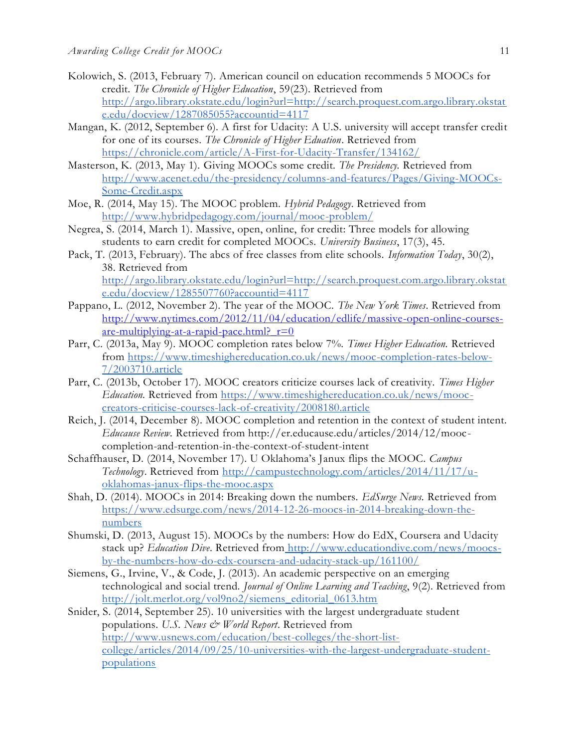- Kolowich, S. (2013, February 7). American council on education recommends 5 MOOCs for credit. *The Chronicle of Higher Education*, 59(23). Retrieved fro[m](http://argo.library.okstate.edu/login?url=http://search.proquest.com.argo.library.okstate.edu/docview/1287085055?accountid=4117) [http://argo.library.okstate.edu/login?url=http://search.proquest.com.argo.library.okstat](http://argo.library.okstate.edu/login?url=http://search.proquest.com.argo.library.okstate.edu/docview/1287085055?accountid=4117) [e.edu/docview/1287085055?accountid=4117](http://argo.library.okstate.edu/login?url=http://search.proquest.com.argo.library.okstate.edu/docview/1287085055?accountid=4117)
- Mangan, K. (2012, September 6). A first for Udacity: A U.S. university will accept transfer credit for one of its courses. *The Chronicle of Higher Eduation*. Retrieved fro[m](https://chronicle.com/article/A-First-for-Udacity-Transfer/134162/) <https://chronicle.com/article/A-First-for-Udacity-Transfer/134162/>
- Masterson, K. (2013, May 1). Giving MOOCs some credit. *The Presidency.* Retrieved fro[m](http://www.acenet.edu/the-presidency/columns-and-features/Pages/Giving-MOOCs-Some-Credit.aspx) [http://www.acenet.edu/the-presidency/columns-and-features/Pages/Giving-MOOCs-](http://www.acenet.edu/the-presidency/columns-and-features/Pages/Giving-MOOCs-Some-Credit.aspx)[Some-Credit.aspx](http://www.acenet.edu/the-presidency/columns-and-features/Pages/Giving-MOOCs-Some-Credit.aspx)
- Moe, R. (2014, May 15). The MOOC problem. *Hybrid Pedagogy*. Retrieved fro[m](http://www.hybridpedagogy.com/journal/mooc-problem/) <http://www.hybridpedagogy.com/journal/mooc-problem/>
- Negrea, S. (2014, March 1). Massive, open, online, for credit: Three models for allowing students to earn credit for completed MOOCs. *University Business*, 17(3), 45.
- Pack, T. (2013, February). The abcs of free classes from elite schools. *Information Today*, 30(2), 38. Retrieved fro[m](http://argo.library.okstate.edu/login?url=http://search.proquest.com.argo.library.okstate.edu/docview/1285507760?accountid=4117) [http://argo.library.okstate.edu/login?url=http://search.proquest.com.argo.library.okstat](http://argo.library.okstate.edu/login?url=http://search.proquest.com.argo.library.okstate.edu/docview/1285507760?accountid=4117) [e.edu/docview/1285507760?accountid=4117](http://argo.library.okstate.edu/login?url=http://search.proquest.com.argo.library.okstate.edu/docview/1285507760?accountid=4117)
- Pappano, L. (2012, November 2). The year of the MOOC. *The New York Times*. Retrieved from [http://www.nytimes.com/2012/11/04/education/edlife/massive-open-online-courses](http://www.nytimes.com/2012/11/04/education/edlife/massive-open-online-courses-are-multiplying-at-a-rapid-pace.html?_r=0)are-multiplying-at-a-rapid-pace.html?  $r=0$
- Parr, C. (2013a, May 9). MOOC completion rates below 7%. *Times Higher Education.* Retrieved from [https://www.timeshighereducation.co.uk/news/mooc-completion-rates-below-](https://www.timeshighereducation.co.uk/news/mooc-completion-rates-below-7/2003710.article)[7/2003710.article](https://www.timeshighereducation.co.uk/news/mooc-completion-rates-below-7/2003710.article)
- Parr, C. (2013b, October 17). MOOC creators criticize courses lack of creativity. *Times Higher Education.* Retrieved from [https://www.timeshighereducation.co.uk/news/mooc](https://www.timeshighereducation.co.uk/news/mooc-creators-criticise-courses-lack-of-creativity/2008180.article)[creators-criticise-courses-lack-of-creativity/2008180.article](https://www.timeshighereducation.co.uk/news/mooc-creators-criticise-courses-lack-of-creativity/2008180.article)
- Reich, J. (2014, December 8). MOOC completion and retention in the context of student intent. *Educause Review.* Retrieved from http://er.educause.edu/articles/2014/12/mooccompletion-and-retention-in-the-context-of-student-intent
- Schaffhauser, D. (2014, November 17). U Oklahoma's Janux flips the MOOC. *Campus Technology*. Retrieved from [http://campustechnology.com/articles/2014/11/17/u](http://campustechnology.com/articles/2014/11/17/u-oklahomas-janux-flips-the-mooc.aspx)[oklahomas-janux-flips-the-mooc.aspx](http://campustechnology.com/articles/2014/11/17/u-oklahomas-janux-flips-the-mooc.aspx)
- Shah, D. (2014). MOOCs in 2014: Breaking down the numbers. *EdSurge News.* Retrieved from [https://www.edsurge.com/news/2014-12-26-moocs-in-2014-breaking-down-the](https://www.edsurge.com/news/2014-12-26-moocs-in-2014-breaking-down-the-numbers)[numbers](https://www.edsurge.com/news/2014-12-26-moocs-in-2014-breaking-down-the-numbers)
- Shumski, D. (2013, August 15). MOOCs by the numbers: How do EdX, Coursera and Udacity stack up? *Education Dive*. Retrieved from [http://www.educationdive.com/news/moocs](http://www.educationdive.com/news/moocs-by-the-numbers-how-do-edx-coursera-and-udacity-stack-up/161100/)[by-the-numbers-how-do-edx-coursera-and-udacity-stack-up/161100/](http://www.educationdive.com/news/moocs-by-the-numbers-how-do-edx-coursera-and-udacity-stack-up/161100/)
- Siemens, G., Irvine, V., & Code, J. (2013). An academic perspective on an emerging technological and social trend. *Journal of Online Learning and Teaching*, 9(2). Retrieved fro[m](http://jolt.merlot.org/vol9no2/siemens_editorial_0613.htm) [http://jolt.merlot.org/vol9no2/siemens\\_editorial\\_0613.htm](http://jolt.merlot.org/vol9no2/siemens_editorial_0613.htm)
- Snider, S. (2014, September 25). 10 universities with the largest undergraduate student populations. *U.S. News & World Report*. Retrieved fro[m](http://www.usnews.com/education/best-colleges/the-short-list-college/articles/2014/09/25/10-universities-with-the-largest-undergraduate-student-populations) [http://www.usnews.com/education/best-colleges/the-short-list](http://www.usnews.com/education/best-colleges/the-short-list-college/articles/2014/09/25/10-universities-with-the-largest-undergraduate-student-populations)[college/articles/2014/09/25/10-universities-with-the-largest-undergraduate-student](http://www.usnews.com/education/best-colleges/the-short-list-college/articles/2014/09/25/10-universities-with-the-largest-undergraduate-student-populations)[populations](http://www.usnews.com/education/best-colleges/the-short-list-college/articles/2014/09/25/10-universities-with-the-largest-undergraduate-student-populations)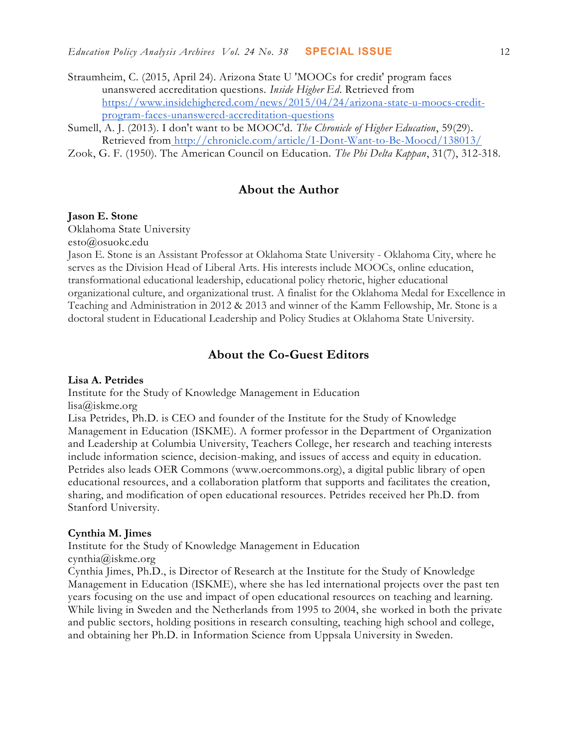- Straumheim, C. (2015, April 24). Arizona State U 'MOOCs for credit' program faces unanswered accreditation questions. *Inside Higher Ed*. Retrieved fro[m](https://www.insidehighered.com/news/2015/04/24/arizona-state-u-moocs-credit-program-faces-unanswered-accreditation-questions) [https://www.insidehighered.com/news/2015/04/24/arizona-state-u-moocs-credit](https://www.insidehighered.com/news/2015/04/24/arizona-state-u-moocs-credit-program-faces-unanswered-accreditation-questions)[program-faces-unanswered-accreditation-questions](https://www.insidehighered.com/news/2015/04/24/arizona-state-u-moocs-credit-program-faces-unanswered-accreditation-questions)
- Sumell, A. J. (2013). I don't want to be MOOC'd. *The Chronicle of Higher Education*, 59(29). Retrieved from <http://chronicle.com/article/I-Dont-Want-to-Be-Moocd/138013/>

Zook, G. F. (1950). The American Council on Education. *The Phi Delta Kappan*, 31(7), 312-318.

## **About the Author**

#### **Jason E. Stone**

Oklahoma State University

esto@osuokc.edu

Jason E. Stone is an Assistant Professor at Oklahoma State University - Oklahoma City, where he serves as the Division Head of Liberal Arts. His interests include MOOCs, online education, transformational educational leadership, educational policy rhetoric, higher educational organizational culture, and organizational trust. A finalist for the Oklahoma Medal for Excellence in Teaching and Administration in 2012 & 2013 and winner of the Kamm Fellowship, Mr. Stone is a doctoral student in Educational Leadership and Policy Studies at Oklahoma State University.

## **About the Co-Guest Editors**

#### **Lisa A. Petrides**

Institute for the Study of Knowledge Management in Education

lisa@iskme.org

Lisa Petrides, Ph.D. is CEO and founder of the Institute for the Study of Knowledge Management in Education (ISKME). A former professor in the Department of Organization and Leadership at Columbia University, Teachers College, her research and teaching interests include information science, decision-making, and issues of access and equity in education. Petrides also leads OER Commons [\(www.oercommons.org\)](http://www.oercommons.org/), a digital public library of open educational resources, and a collaboration platform that supports and facilitates the creation, sharing, and modification of open educational resources. Petrides received her Ph.D. from Stanford University.

#### **Cynthia M. Jimes**

Institute for the Study of Knowledge Management in Education cynthia@iskme.org

Cynthia Jimes, Ph.D., is Director of Research at the Institute for the Study of Knowledge Management in Education (ISKME), where she has led international projects over the past ten years focusing on the use and impact of open educational resources on teaching and learning. While living in Sweden and the Netherlands from 1995 to 2004, she worked in both the private and public sectors, holding positions in research consulting, teaching high school and college, and obtaining her Ph.D. in Information Science from Uppsala University in Sweden.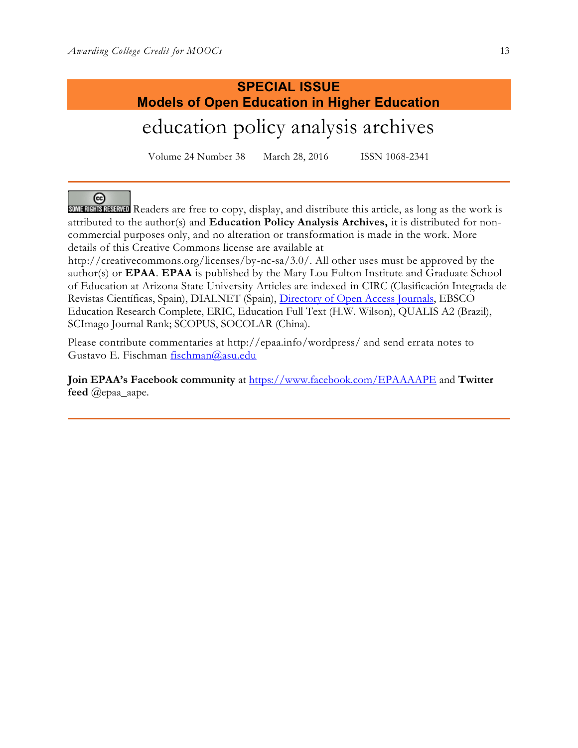# **SPECIAL ISSUE Models of Open Education in Higher Education**

education policy analysis archives

Volume 24 Number 38 March 28, 2016 ISSN 1068-2341

ලි SOME READERS ARRAIGED Readers are free to copy, display, and distribute this article, as long as the work is attributed to the author(s) and **Education Policy Analysis Archives,** it is distributed for noncommercial purposes only, and no alteration or transformation is made in the work. More details of this Creative Commons license are available at

http://creativecommons.org/licenses/by-nc-sa/3.0/. All other uses must be approved by the author(s) or **EPAA**. **EPAA** is published by the Mary Lou Fulton Institute and Graduate School of Education at Arizona State University Articles are indexed in CIRC (Clasificación Integrada de Revistas Científicas, Spain), DIALNET (Spain), [Directory of Open Access Journals,](http://www.doaj.org/) EBSCO Education Research Complete, ERIC, Education Full Text (H.W. Wilson), QUALIS A2 (Brazil), SCImago Journal Rank; SCOPUS, SOCOLAR (China).

Please contribute commentaries at http://epaa.info/wordpress/ and send errata notes to Gustavo E. Fischman [fischman@asu.edu](mailto:fischman@asu.edu)

**Join EPAA's Facebook community** at<https://www.facebook.com/EPAAAAPE> and **Twitter feed** @epaa\_aape.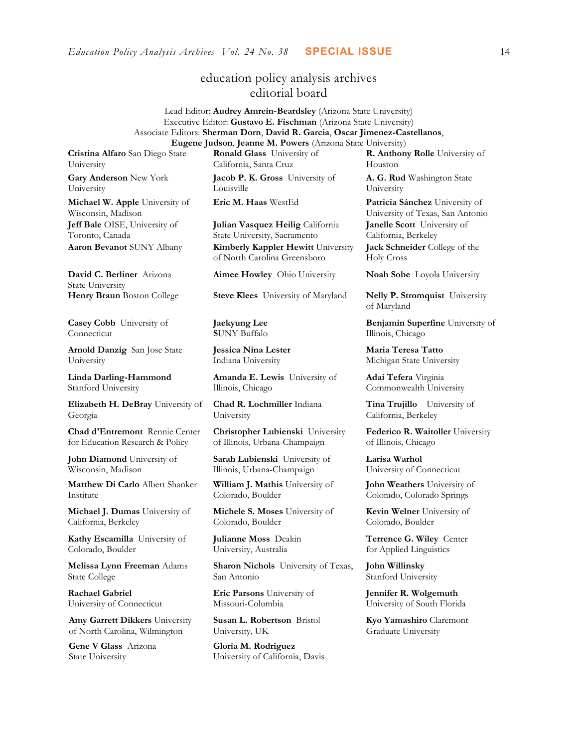## education policy analysis archives editorial board

Lead Editor: **Audrey Amrein-Beardsley** (Arizona State University) Executive Editor: **Gustavo E. Fischman** (Arizona State University) Associate Editors: **Sherman Dorn**, **David R. Garcia**, **Oscar Jimenez-Castellanos**, **Eugene Judson**, **Jeanne M. Powers** (Arizona State University)

**Cristina Alfaro** San Diego State University

**Gary Anderson** New York University

**Michael W. Apple** University of Wisconsin, Madison **Jeff Bale** OISE, University of Toronto, Canada

**David C. Berliner** Arizona State University

**Casey Cobb** University of Connecticut

**Arnold Danzig** San Jose State University

**Linda Darling-Hammond**  Stanford University

**Elizabeth H. DeBray** University of Georgia

**Chad d'Entremont** Rennie Center for Education Research & Policy

**John Diamond** University of Wisconsin, Madison

**Matthew Di Carlo** Albert Shanker Institute

**Michael J. Dumas** University of California, Berkeley

**Kathy Escamilla** University of Colorado, Boulder

**Melissa Lynn Freeman** Adams State College

**Rachael Gabriel** University of Connecticut

**Amy Garrett Dikkers** University of North Carolina, Wilmington

**Gene V Glass** Arizona State University

**Ronald Glass** University of California, Santa Cruz

**Jacob P. K. Gross** University of Louisville

**Julian Vasquez Heilig** California State University, Sacramento **Aaron Bevanot** SUNY Albany **Kimberly Kappler Hewitt** University of North Carolina Greensboro

**Henry Braun** Boston College **Steve Klees** University of Maryland **Nelly P. Stromquist** University

**Jaekyung Lee S**UNY Buffalo

**Jessica Nina Lester** Indiana University

**Amanda E. Lewis** University of Illinois, Chicago

**Chad R. Lochmiller** Indiana University

**Christopher Lubienski** University of Illinois, Urbana-Champaign

**Sarah Lubienski** University of Illinois, Urbana-Champaign

**William J. Mathis** University of Colorado, Boulder

**Michele S. Moses** University of Colorado, Boulder

**Julianne Moss** Deakin University, Australia

**Sharon Nichols** University of Texas, San Antonio

**Eric Parsons** University of Missouri-Columbia

**Susan L. Robertson** Bristol University, UK

**Gloria M. Rodriguez** University of California, Davis **R. Anthony Rolle** University of Houston

**A. G. Rud** Washington State University

**Eric M. Haas** WestEd **Patricia Sánchez** University of University of Texas, San Antonio **Janelle Scott** University of California, Berkeley **Jack Schneider** College of the Holy Cross

**Aimee Howley** Ohio University **Noah Sobe** Loyola University

of Maryland

**Benjamin Superfine** University of Illinois, Chicago

**Maria Teresa Tatto**  Michigan State University

**Adai Tefera** Virginia Commonwealth University

**Tina Trujillo** University of California, Berkeley

**Federico R. Waitoller** University of Illinois, Chicago

**Larisa Warhol** University of Connecticut

**John Weathers** University of Colorado, Colorado Springs

**Kevin Welner** University of Colorado, Boulder

**Terrence G. Wiley** Center for Applied Linguistics

**John Willinsky**  Stanford University

**Jennifer R. Wolgemuth**  University of South Florida

**Kyo Yamashiro** Claremont Graduate University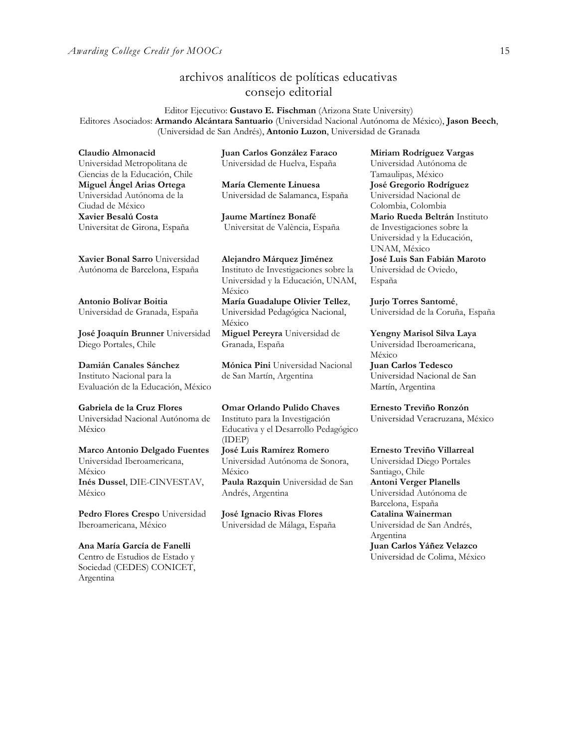# archivos analíticos de políticas educativas consejo editorial

Editor Ejecutivo: **Gustavo E. Fischman** (Arizona State University) Editores Asociados: **Armando Alcántara Santuario** (Universidad Nacional Autónoma de México), **Jason Beech**, (Universidad de San Andrés), **Antonio Luzon**, Universidad de Granada

**Claudio Almonacid**

Universidad Metropolitana de Ciencias de la Educación, Chile **Miguel Ángel Arias Ortega**  Universidad Autónoma de la Ciudad de México **Xavier Besalú Costa**  Universitat de Girona, España

**Juan Carlos González Faraco**  Universidad de Huelva, España

**María Clemente Linuesa**  Universidad de Salamanca, España

**Jaume Martínez Bonafé** Universitat de València, España

**[Xavier Bonal](javascript:openRTWindow() Sarro** Universidad Autónoma de Barcelona, España

**[Antonio Bolívar](javascript:openRTWindow() Boitia** Universidad de Granada, España

**[José Joaquín Brunner](javascript:openRTWindow()** Universidad Diego Portales, Chile

**[Damián Canales Sánchez](javascript:openRTWindow()** Instituto Nacional para la Evaluación de la Educación, México

**Gabriela de la Cruz Flores** Universidad Nacional Autónoma de México

**[Marco Antonio Delgado Fuentes](javascript:openRTWindow()** Universidad Iberoamericana, México **[Inés Dussel](javascript:openRTWindow()**, DIE-CINVESTAV, México

**[Pedro Flores Crespo](javascript:openRTWindow()** Universidad Iberoamericana, México

**Ana María García de Fanelli**  Centro de Estudios de Estado y Sociedad (CEDES) CONICET, Argentina

**Alejandro Márquez Jiménez**  Instituto de Investigaciones sobre la Universidad y la Educación, UNAM, México **María Guadalupe Olivier Tellez**,

Universidad Pedagógica Nacional, México **[Miguel Pereyra](javascript:openRTWindow()** Universidad de

Granada, España

**[Mónica Pini](javascript:openRTWindow()** Universidad Nacional de San Martín, Argentina

**Omar Orlando Pulido Chaves** Instituto para la Investigación Educativa y el Desarrollo Pedagógico (IDEP) **[José Luis Ramírez](javascript:openRTWindow() Romero**

Universidad Autónoma de Sonora, México **[Paula Razquin](javascript:openRTWindow()** Universidad de San Andrés, Argentina

**José Ignacio Rivas Flores** Universidad de Málaga, España **[Miriam Rodríguez Vargas](javascript:openRTWindow()** Universidad Autónoma de Tamaulipas, México **José Gregorio Rodríguez**  Universidad Nacional de Colombia, Colombia **[Mario Rueda Beltrán](javascript:openRTWindow()** Instituto de Investigaciones sobre la Universidad y la Educación, UNAM, México **José Luis San Fabián Maroto**  Universidad de Oviedo, España

**[Jurjo Torres Santomé](javascript:openRTWindow()**, Universidad de la Coruña, España

**[Yengny Marisol Silva Laya](javascript:openRTWindow()** Universidad Iberoamericana, México

**Juan Carlos Tedesco** Universidad Nacional de San Martín, Argentina

**Ernesto Treviño Ronzón** Universidad Veracruzana, México

**[Ernesto Treviño](javascript:openRTWindow() Villarreal**

Universidad Diego Portales Santiago, Chile **[Antoni Verger Planells](javascript:openRTWindow()** Universidad Autónoma de Barcelona, España **[Catalina Wainerman](javascript:openRTWindow()** Universidad de San Andrés, Argentina **Juan Carlos Yáñez Velazco** Universidad de Colima, México